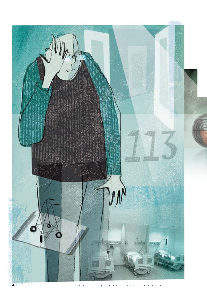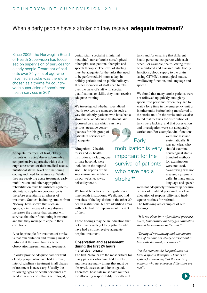# When elderly people have a stroke: do they receive **adequate treatment?**

Since 2009, the Norwegian Board of Health Supervision has focussed on supervision of services for elderly people. Treatment of patients over 80 years of age who have had a stroke was therefore chosen as a theme for countrywide supervision of specialized health services in 2011.



Adequate treatment of frail, elderly patients with acute disease demands a comprehensive approach, with a thorough assessment of their medical needs, nutritional status, level of functioning, coping and need for assistance. While they are receiving acute treatment, early mobilization and other appropriate rehabilitation must be initiated. Systematic inter-disciplinary cooperation is therefore essential in all phases of treatment. Studies, including studies from Norway, have shown that such an approach in the case of acute disease increases the chance that patients will survive, that their functioning is restored, and that they manage to cope in their own home.

A basic principle for treatment of stroke is that rehabilitation and training must be initiated at the same time as acute observation, assessment and treatment.

In order provide adequate care for frail elderly people who have had a stroke, inter-disciplinary treatment in all phases of treatment is necessary. Usually the following types of health personnel are needed: senior consultant (neurologist,

geriatrician, specialist in internal medicine), nurse (stroke nurse), physiotherapist, occupational therapist and speech therapist. The level of staffing must be adequate for the tasks that need to be performed, 24 hours a day, in holiday periods and on public holidays. If other members of staff need to take over the tasks of staff with special qualifications or skills, they must receive adequate training.

We investigated whether specialized health services are managed in such a way that elderly patients who have had a stroke receive adequate treatment. We focussed on areas which can have

serious, negative consequences for this group of patients if services are inadequate.

Altogether, 17 health trusts and 29 health institutions, including one private hospital, were included in the supervision. The reports of this supervision are available on our website: www. helsetilsynet.no.

We found breaches of the legislation in nine health institutions. We did not find breaches of the legislation in the other 20 health institutions, but we identified areas with potential for improvement in eight of them.

These findings may be an indication that not all vulnerable, elderly patients who have had a stroke receive adequate hospital treatment.

## **Observation and assessment during the first 24 hours – a critical phase**

The first 24 hours are the most critical for many patients who have had a stroke, and there are many things that must be observed, assessed and investigated. Therefore, hospitals must have routines for allocating responsibility for different

tasks and for ensuring that different health personnel cooperate with each other. For example, the following must be monitored and assessed: vital bodily functions, blood supply to the brain (using CT/MR), neurological status, swallowing function, and language and speech.

We found that many stroke patients were not followed up quickly enough by specialized personnel when they had to wait a long time in the emergency unit or in other units before being transferred to the stroke unit. In the stroke unit we also found that routines for distribution of tasks were lacking, and that observation and investigation were not adequately carried out. For example, vital functions

Early

mobilization is very important for the survival of patients who have had a stroke<sup>99</sup>

were not assessed systematically. It was not clear who should examine neurological status. Standard methods for examination were not used. Swallowing was not assessed systematically. In many units, language and speech

were not adequately followed up because of lack of qualified personnel, unclear allocation of responsibility, and inadequate routines for referral. The following are examples of our findings:

*"It is not clear how often blood pressure, pulse, temperature and oxygen saturation should be measured in the unit."*

*"Testing of swallowing and documentation of this are not always carried out in line with standard procedures."*

*"At the moment the hospital does not have a speech therapist. There is no system for ensuring that the needs of patients who have speech difficulties are met".*